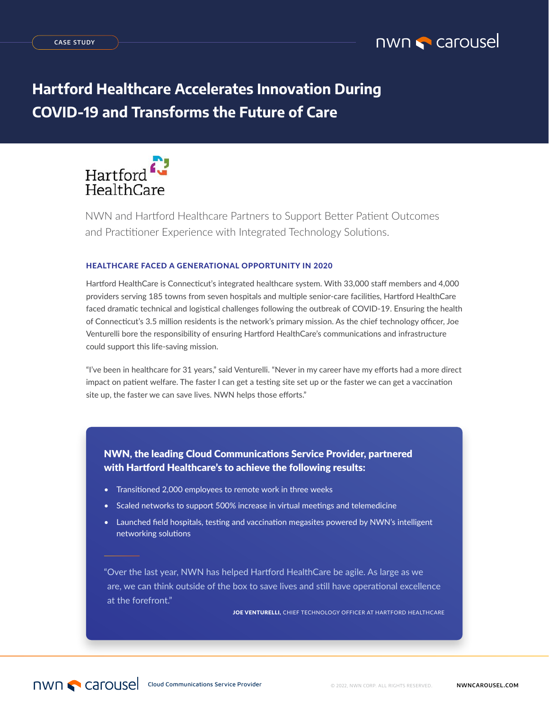

# **Hartford Healthcare Accelerates Innovation During COVID-19 and Transforms the Future of Care**



NWN and Hartford Healthcare Partners to Support Better Patient Outcomes and Practitioner Experience with Integrated Technology Solutions.

## HEALTHCARE FACED A GENERATIONAL OPPORTUNITY IN 2020

Hartford HealthCare is Connecticut's integrated healthcare system. With 33,000 staff members and 4,000 providers serving 185 towns from seven hospitals and multiple senior-care facilities, Hartford HealthCare faced dramatic technical and logistical challenges following the outbreak of COVID-19. Ensuring the health of Connecticut's 3.5 million residents is the network's primary mission. As the chief technology officer, Joe Venturelli bore the responsibility of ensuring Hartford HealthCare's communications and infrastructure could support this life-saving mission.

"I've been in healthcare for 31 years," said Venturelli. "Never in my career have my efforts had a more direct impact on patient welfare. The faster I can get a testing site set up or the faster we can get a vaccination site up, the faster we can save lives. NWN helps those efforts."

NWN, the leading Cloud Communications Service Provider, partnered with Hartford Healthcare's to achieve the following results:

- Transitioned 2,000 employees to remote work in three weeks
- Scaled networks to support 500% increase in virtual meetings and telemedicine
- Launched field hospitals, testing and vaccination megasites powered by NWN's intelligent networking solutions

"Over the last year, NWN has helped Hartford HealthCare be agile. As large as we are, we can think outside of the box to save lives and still have operational excellence at the forefront."

JOE VENTURELLI, CHIEF TECHNOLOGY OFFICER AT HARTFORD HEALTHCARE

nwn **C** carousel Cloud Communications Service Provider © 2022, NWN CORP. ALL RIGHTS RESERVED. **NWNCAROUSEL.COM**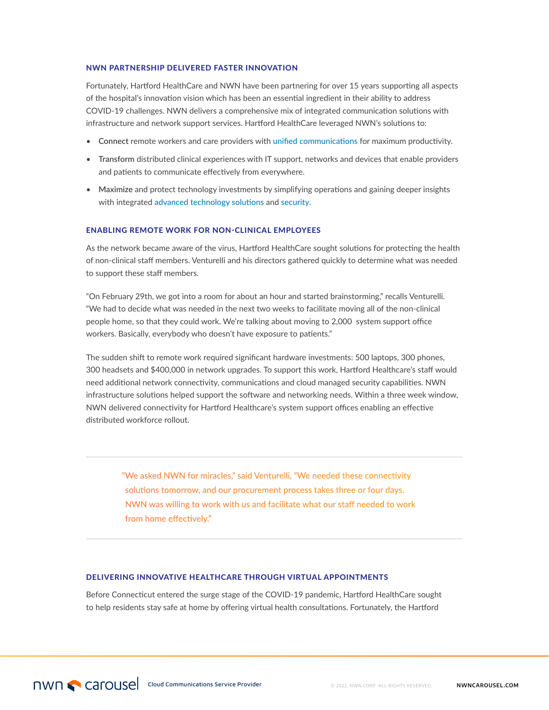#### NWN PARTNERSHIP DELIVERED FASTER INNOVATION

Fortunately, Hartford HealthCare and NWN have been partnering for over 15 years supporting all aspects of the hospital's innovation vision which has been an essential ingredient in their ability to address COVID-19 challenges. NWN delivers a comprehensive mix of integrated communication solutions with infrastructure and network support services. Hartford HealthCare leveraged NWN's solutions to:

- **Connect** remote workers and care providers with [unified communications](https://www.nwnit.com/solutions/unified-communications/) for maximum productivity.
- **Transform** distributed clinical experiences with IT support, networks and devices that enable providers and patients to communicate effectively from everywhere.
- **Maximize** and protect technology investments by simplifying operations and gaining deeper insights with integrated [advanced technology solutions](https://www.nwnit.com/solutions/advanced-technology-solutions/) and [security](https://www.nwnit.com/solutions/security/).

#### ENABLING REMOTE WORK FOR NON-CLINICAL EMPLOYEES

As the network became aware of the virus, Hartford HealthCare sought solutions for protecting the health of non-clinical staff members. Venturelli and his directors gathered quickly to determine what was needed to support these staff members.

"On February 29th, we got into a room for about an hour and started brainstorming," recalls Venturelli. "We had to decide what was needed in the next two weeks to facilitate moving all of the non-clinical people home, so that they could work. We're talking about moving to 2,000 system support office workers. Basically, everybody who doesn't have exposure to patients."

The sudden shift to remote work required significant hardware investments: 500 laptops, 300 phones, 300 headsets and \$400,000 in network upgrades. To support this work, Hartford Healthcare's staff would need additional network connectivity, communications and cloud managed security capabilities. NWN infrastructure solutions helped support the software and networking needs. Within a three week window, NWN delivered connectivity for Hartford Healthcare's system support offices enabling an effective distributed workforce rollout.

"We asked NWN for miracles," said Venturelli, "We needed these connectivity solutions tomorrow, and our procurement process takes three or four days. NWN was willing to work with us and facilitate what our staff needed to work from home effectively."

## DELIVERING INNOVATIVE HEALTHCARE THROUGH VIRTUAL APPOINTMENTS

Before Connecticut entered the surge stage of the COVID-19 pandemic, Hartford HealthCare sought to help residents stay safe at home by offering virtual health consultations. Fortunately, the Hartford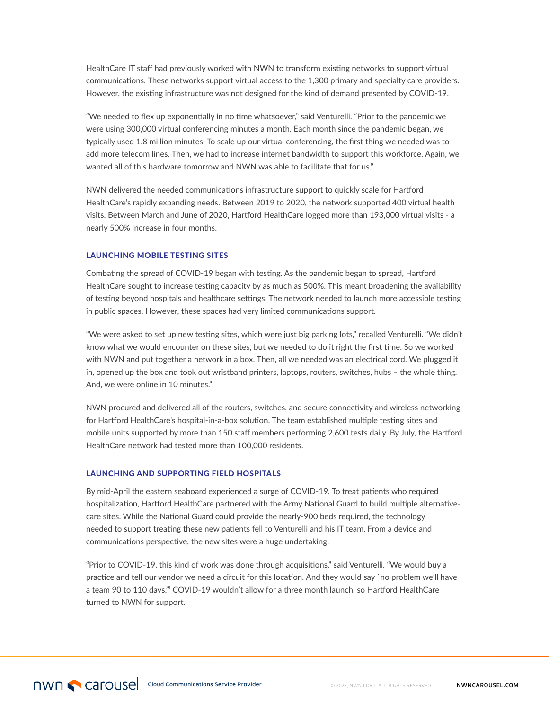HealthCare IT staff had previously worked with NWN to transform existing networks to support virtual communications. These networks support virtual access to the 1,300 primary and specialty care providers. However, the existing infrastructure was not designed for the kind of demand presented by COVID-19.

"We needed to flex up exponentially in no time whatsoever," said Venturelli. "Prior to the pandemic we were using 300,000 virtual conferencing minutes a month. Each month since the pandemic began, we typically used 1.8 million minutes. To scale up our virtual conferencing, the first thing we needed was to add more telecom lines. Then, we had to increase internet bandwidth to support this workforce. Again, we wanted all of this hardware tomorrow and NWN was able to facilitate that for us."

NWN delivered the needed communications infrastructure support to quickly scale for Hartford HealthCare's rapidly expanding needs. Between 2019 to 2020, the network supported 400 virtual health visits. Between March and June of 2020, Hartford HealthCare logged more than 193,000 virtual visits - a nearly 500% increase in four months.

### LAUNCHING MOBILE TESTING SITES

Combating the spread of COVID-19 began with testing. As the pandemic began to spread, Hartford HealthCare sought to increase testing capacity by as much as 500%. This meant broadening the availability of testing beyond hospitals and healthcare settings. The network needed to launch more accessible testing in public spaces. However, these spaces had very limited communications support.

"We were asked to set up new testing sites, which were just big parking lots," recalled Venturelli. "We didn't know what we would encounter on these sites, but we needed to do it right the first time. So we worked with NWN and put together a network in a box. Then, all we needed was an electrical cord. We plugged it in, opened up the box and took out wristband printers, laptops, routers, switches, hubs – the whole thing. And, we were online in 10 minutes."

NWN procured and delivered all of the routers, switches, and secure connectivity and wireless networking for Hartford HealthCare's hospital-in-a-box solution. The team established multiple testing sites and mobile units supported by more than 150 staff members performing 2,600 tests daily. By July, the Hartford HealthCare network had tested more than 100,000 residents.

#### LAUNCHING AND SUPPORTING FIELD HOSPITALS

By mid-April the eastern seaboard experienced a surge of COVID-19. To treat patients who required hospitalization, Hartford HealthCare partnered with the Army National Guard to build multiple alternativecare sites. While the National Guard could provide the nearly-900 beds required, the technology needed to support treating these new patients fell to Venturelli and his IT team. From a device and communications perspective, the new sites were a huge undertaking.

"Prior to COVID-19, this kind of work was done through acquisitions," said Venturelli. "We would buy a practice and tell our vendor we need a circuit for this location. And they would say `no problem we'll have a team 90 to 110 days.'" COVID-19 wouldn't allow for a three month launch, so Hartford HealthCare turned to NWN for support.

**ORIGITATION CONSECTED Cloud Communications Service Provider CONSECTED CORP. ALL RIGHTS RESERVED. NWNCAROUSEL.COM**